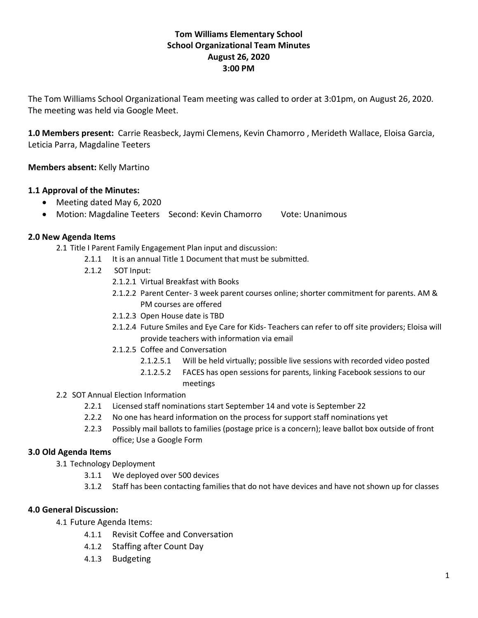## **Tom Williams Elementary School School Organizational Team Minutes August 26, 2020 3:00 PM**

The Tom Williams School Organizational Team meeting was called to order at 3:01pm, on August 26, 2020. The meeting was held via Google Meet.

**1.0 Members present:** Carrie Reasbeck, Jaymi Clemens, Kevin Chamorro , Merideth Wallace, Eloisa Garcia, Leticia Parra, Magdaline Teeters

**Members absent:** Kelly Martino

### **1.1 Approval of the Minutes:**

- Meeting dated May 6, 2020
- Motion: Magdaline Teeters Second: Kevin Chamorro Vote: Unanimous

#### **2.0 New Agenda Items**

2.1 Title I Parent Family Engagement Plan input and discussion:

- 2.1.1 It is an annual Title 1 Document that must be submitted.
- 2.1.2 SOT Input:
	- 2.1.2.1 Virtual Breakfast with Books
	- 2.1.2.2 Parent Center- 3 week parent courses online; shorter commitment for parents. AM & PM courses are offered
	- 2.1.2.3 Open House date is TBD
	- 2.1.2.4 Future Smiles and Eye Care for Kids- Teachers can refer to off site providers; Eloisa will provide teachers with information via email
	- 2.1.2.5 Coffee and Conversation
		- 2.1.2.5.1 Will be held virtually; possible live sessions with recorded video posted
		- 2.1.2.5.2 FACES has open sessions for parents, linking Facebook sessions to our meetings
- 2.2 SOT Annual Election Information
	- 2.2.1 Licensed staff nominations start September 14 and vote is September 22
	- 2.2.2 No one has heard information on the process for support staff nominations yet
	- 2.2.3 Possibly mail ballots to families (postage price is a concern); leave ballot box outside of front office; Use a Google Form

#### **3.0 Old Agenda Items**

- 3.1 Technology Deployment
	- 3.1.1 We deployed over 500 devices
	- 3.1.2 Staff has been contacting families that do not have devices and have not shown up for classes

#### **4.0 General Discussion:**

4.1 Future Agenda Items:

- 4.1.1 Revisit Coffee and Conversation
- 4.1.2 Staffing after Count Day
- 4.1.3 Budgeting